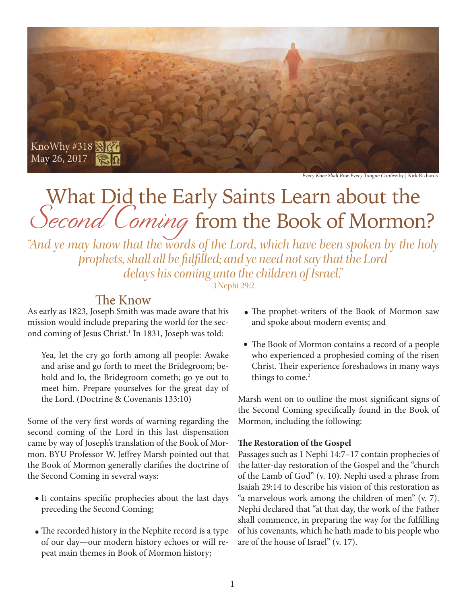

Every Knee Shall Bow Every Tongue Confess by J Kirk Richards

# What Did the Early Saints Learn about the Second Coming from the Book of Mormon?

*"And ye may know that the words of the Lord, which have been spoken by the holy prophets, shall all be fulfilled; and ye need not say that the Lord delays his coming unto the children of Israel."* 

3 Nephi 29:2

# The Know

As early as 1823, Joseph Smith was made aware that his mission would include preparing the world for the second coming of Jesus Christ.<sup>1</sup> In 1831, Joseph was told:

Yea, let the cry go forth among all people: Awake and arise and go forth to meet the Bridegroom; behold and lo, the Bridegroom cometh; go ye out to meet him. Prepare yourselves for the great day of the Lord. (Doctrine & Covenants 133:10)

Some of the very first words of warning regarding the second coming of the Lord in this last dispensation came by way of Joseph's translation of the Book of Mormon. BYU Professor W. Jeffrey Marsh pointed out that the Book of Mormon generally clarifies the doctrine of the Second Coming in several ways:

- It contains specific prophecies about the last days preceding the Second Coming;
- The recorded history in the Nephite record is a type of our day—our modern history echoes or will repeat main themes in Book of Mormon history;
- The prophet-writers of the Book of Mormon saw and spoke about modern events; and
- The Book of Mormon contains a record of a people who experienced a prophesied coming of the risen Christ. Their experience foreshadows in many ways things to come.<sup>2</sup>

Marsh went on to outline the most significant signs of the Second Coming specifically found in the Book of Mormon, including the following:

### **The Restoration of the Gospel**

Passages such as 1 Nephi 14:7–17 contain prophecies of the latter-day restoration of the Gospel and the "church of the Lamb of God" (v. 10). Nephi used a phrase from Isaiah 29:14 to describe his vision of this restoration as "a marvelous work among the children of men" (v. 7). Nephi declared that "at that day, the work of the Father shall commence, in preparing the way for the fulfilling of his covenants, which he hath made to his people who are of the house of Israel" (v. 17).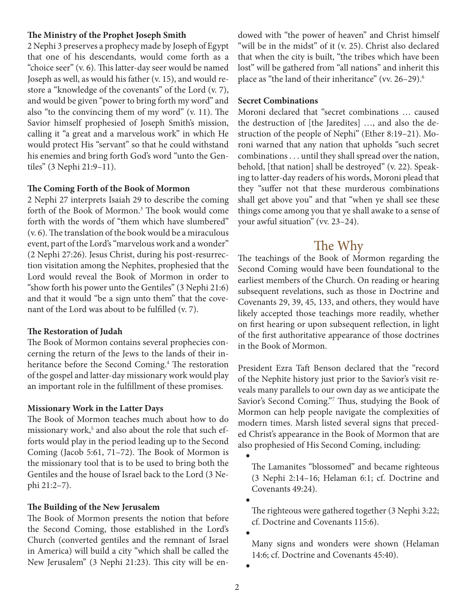#### **The Ministry of the Prophet Joseph Smith**

2 Nephi 3 preserves a prophecy made by Joseph of Egypt that one of his descendants, would come forth as a "choice seer" (v. 6). This latter-day seer would be named Joseph as well, as would his father (v. 15), and would restore a "knowledge of the covenants" of the Lord (v. 7), and would be given "power to bring forth my word" and also "to the convincing them of my word" (v. 11). The Savior himself prophesied of Joseph Smith's mission, calling it "a great and a marvelous work" in which He would protect His "servant" so that he could withstand his enemies and bring forth God's word "unto the Gentiles" (3 Nephi 21:9–11).

#### **The Coming Forth of the Book of Mormon**

2 Nephi 27 interprets Isaiah 29 to describe the coming forth of the Book of Mormon.3 The book would come forth with the words of "them which have slumbered" (v. 6). The translation of the book would be a miraculous event, part of the Lord's "marvelous work and a wonder" (2 Nephi 27:26). Jesus Christ, during his post-resurrection visitation among the Nephites, prophesied that the Lord would reveal the Book of Mormon in order to "show forth his power unto the Gentiles" (3 Nephi 21:6) and that it would "be a sign unto them" that the covenant of the Lord was about to be fulfilled (v. 7).

#### **The Restoration of Judah**

The Book of Mormon contains several prophecies concerning the return of the Jews to the lands of their inheritance before the Second Coming.<sup>4</sup> The restoration of the gospel and latter-day missionary work would play an important role in the fulfillment of these promises.

#### **Missionary Work in the Latter Days**

The Book of Mormon teaches much about how to do missionary work,<sup>5</sup> and also about the role that such efforts would play in the period leading up to the Second Coming (Jacob 5:61, 71–72). The Book of Mormon is the missionary tool that is to be used to bring both the Gentiles and the house of Israel back to the Lord (3 Nephi 21:2–7).

#### **The Building of the New Jerusalem**

The Book of Mormon presents the notion that before the Second Coming, those established in the Lord's Church (converted gentiles and the remnant of Israel in America) will build a city "which shall be called the New Jerusalem" (3 Nephi 21:23). This city will be en-

dowed with "the power of heaven" and Christ himself "will be in the midst" of it (v. 25). Christ also declared that when the city is built, "the tribes which have been lost" will be gathered from "all nations" and inherit this place as "the land of their inheritance" (vv. 26-29).<sup>6</sup>

#### **Secret Combinations**

Moroni declared that "secret combinations … caused the destruction of [the Jaredites] …, and also the destruction of the people of Nephi" (Ether 8:19–21). Moroni warned that any nation that upholds "such secret combinations . . . until they shall spread over the nation, behold, [that nation] shall be destroyed" (v. 22). Speaking to latter-day readers of his words, Moroni plead that they "suffer not that these murderous combinations shall get above you" and that "when ye shall see these things come among you that ye shall awake to a sense of your awful situation" (vv. 23–24).

# The Why

The teachings of the Book of Mormon regarding the Second Coming would have been foundational to the earliest members of the Church. On reading or hearing subsequent revelations, such as those in Doctrine and Covenants 29, 39, 45, 133, and others, they would have likely accepted those teachings more readily, whether on first hearing or upon subsequent reflection, in light of the first authoritative appearance of those doctrines in the Book of Mormon.

President Ezra Taft Benson declared that the "record of the Nephite history just prior to the Savior's visit reveals many parallels to our own day as we anticipate the Savior's Second Coming."7 Thus, studying the Book of Mormon can help people navigate the complexities of modern times. Marsh listed several signs that preceded Christ's appearance in the Book of Mormon that are also prophesied of His Second Coming, including:

The Lamanites "blossomed" and became righteous (3 Nephi 2:14–16; Helaman 6:1; cf. Doctrine and Covenants 49:24).

The righteous were gathered together (3 Nephi 3:22; cf. Doctrine and Covenants 115:6).

Many signs and wonders were shown (Helaman 14:6; cf. Doctrine and Covenants 45:40).